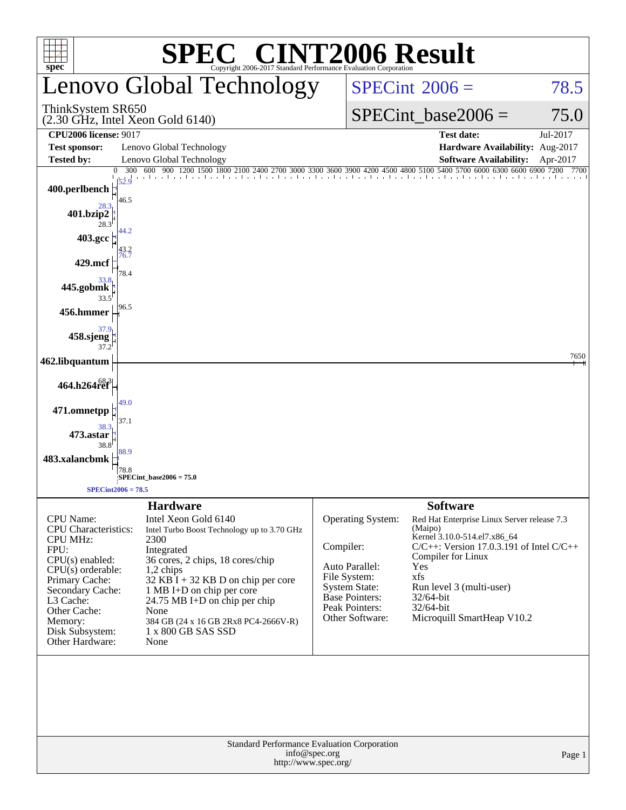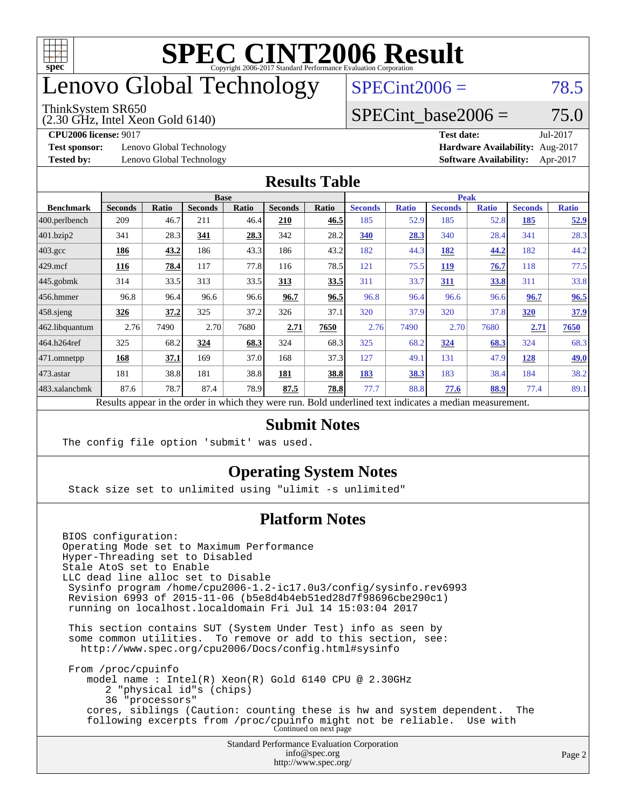

## enovo Global Technology

#### ThinkSystem SR650

(2.30 GHz, Intel Xeon Gold 6140)

 $SPECint2006 = 78.5$  $SPECint2006 = 78.5$ 

### SPECint base2006 =  $75.0$

**[Test sponsor:](http://www.spec.org/auto/cpu2006/Docs/result-fields.html#Testsponsor)** Lenovo Global Technology **[Hardware Availability:](http://www.spec.org/auto/cpu2006/Docs/result-fields.html#HardwareAvailability)** Aug-2017

**[CPU2006 license:](http://www.spec.org/auto/cpu2006/Docs/result-fields.html#CPU2006license)** 9017 **[Test date:](http://www.spec.org/auto/cpu2006/Docs/result-fields.html#Testdate)** Jul-2017 **[Tested by:](http://www.spec.org/auto/cpu2006/Docs/result-fields.html#Testedby)** Lenovo Global Technology **[Software Availability:](http://www.spec.org/auto/cpu2006/Docs/result-fields.html#SoftwareAvailability)** Apr-2017

#### **[Results Table](http://www.spec.org/auto/cpu2006/Docs/result-fields.html#ResultsTable)**

|                                                                                                          | <b>Base</b><br><b>Peak</b> |       |                |       |                |       |                |              |                |              |                |              |
|----------------------------------------------------------------------------------------------------------|----------------------------|-------|----------------|-------|----------------|-------|----------------|--------------|----------------|--------------|----------------|--------------|
| <b>Benchmark</b>                                                                                         | <b>Seconds</b>             | Ratio | <b>Seconds</b> | Ratio | <b>Seconds</b> | Ratio | <b>Seconds</b> | <b>Ratio</b> | <b>Seconds</b> | <b>Ratio</b> | <b>Seconds</b> | <b>Ratio</b> |
| 400.perlbench                                                                                            | 209                        | 46.7  | 211            | 46.4  | 210            | 46.5  | 185            | 52.9         | 185            | 52.8         | 185            | <u>52.9</u>  |
| 401.bzip2                                                                                                | 341                        | 28.3  | 341            | 28.3  | 342            | 28.2  | 340            | 28.3         | 340            | 28.4         | 341            | 28.3         |
| $403.\mathrm{gcc}$                                                                                       | 186                        | 43.2  | 186            | 43.3  | 186            | 43.2  | 182            | 44.3         | 182            | 44.2         | 182            | 44.2         |
| $429$ .mcf                                                                                               | 116                        | 78.4  | 117            | 77.8  | 116            | 78.5  | 121            | 75.5         | <u>119</u>     | 76.7         | 118            | 77.5         |
| $445$ .gobmk                                                                                             | 314                        | 33.5  | 313            | 33.5  | 313            | 33.5  | 311            | 33.7         | 311            | 33.8         | 311            | 33.8         |
| $456.$ hmmer                                                                                             | 96.8                       | 96.4  | 96.6           | 96.6  | 96.7           | 96.5  | 96.8           | 96.4         | 96.6           | 96.6         | 96.7           | 96.5         |
| $458$ .sjeng                                                                                             | 326                        | 37.2  | 325            | 37.2  | 326            | 37.1  | 320            | 37.9         | 320            | 37.8         | 320            | 37.9         |
| 462.libquantum                                                                                           | 2.76                       | 7490  | 2.70           | 7680  | 2.71           | 7650  | 2.76           | 7490         | 2.70           | 7680         | 2.71           | 7650         |
| 464.h264ref                                                                                              | 325                        | 68.2  | 324            | 68.3  | 324            | 68.3  | 325            | 68.2         | 324            | 68.3         | 324            | 68.3         |
| $ 471$ .omnetpp                                                                                          | 168                        | 37.1  | 169            | 37.0  | 168            | 37.3  | 127            | 49.1         | 131            | 47.9         | 128            | <u>49.0</u>  |
| $473$ . astar                                                                                            | 181                        | 38.8  | 181            | 38.8  | 181            | 38.8  | 183            | 38.3         | 183            | 38.4         | 184            | 38.2         |
| 483.xalancbmk                                                                                            | 87.6                       | 78.7  | 87.4           | 78.9  | 87.5           | 78.8  | 77.7           | 88.8         | 77.6           | 88.9         | 77.4           | 89.1         |
| Results appear in the order in which they were run. Bold underlined text indicates a median measurement. |                            |       |                |       |                |       |                |              |                |              |                |              |

#### **[Submit Notes](http://www.spec.org/auto/cpu2006/Docs/result-fields.html#SubmitNotes)**

The config file option 'submit' was used.

### **[Operating System Notes](http://www.spec.org/auto/cpu2006/Docs/result-fields.html#OperatingSystemNotes)**

Stack size set to unlimited using "ulimit -s unlimited"

### **[Platform Notes](http://www.spec.org/auto/cpu2006/Docs/result-fields.html#PlatformNotes)**

Standard Performance Evaluation Corporation BIOS configuration: Operating Mode set to Maximum Performance Hyper-Threading set to Disabled Stale AtoS set to Enable LLC dead line alloc set to Disable Sysinfo program /home/cpu2006-1.2-ic17.0u3/config/sysinfo.rev6993 Revision 6993 of 2015-11-06 (b5e8d4b4eb51ed28d7f98696cbe290c1) running on localhost.localdomain Fri Jul 14 15:03:04 2017 This section contains SUT (System Under Test) info as seen by some common utilities. To remove or add to this section, see: <http://www.spec.org/cpu2006/Docs/config.html#sysinfo> From /proc/cpuinfo model name : Intel(R) Xeon(R) Gold 6140 CPU @ 2.30GHz 2 "physical id"s (chips) 36 "processors" cores, siblings (Caution: counting these is hw and system dependent. The following excerpts from /proc/cpuinfo might not be reliable. Use with Continued on next page

[info@spec.org](mailto:info@spec.org) <http://www.spec.org/>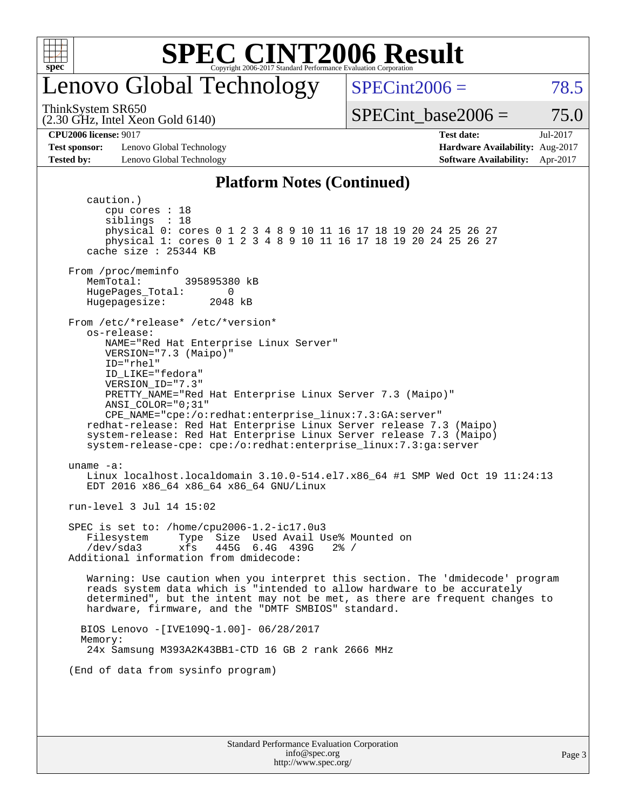

## enovo Global Technology

ThinkSystem SR650

(2.30 GHz, Intel Xeon Gold 6140)

 $SPECint2006 = 78.5$  $SPECint2006 = 78.5$ 

SPECint base2006 =  $75.0$ 

**[Test sponsor:](http://www.spec.org/auto/cpu2006/Docs/result-fields.html#Testsponsor)** Lenovo Global Technology **[Hardware Availability:](http://www.spec.org/auto/cpu2006/Docs/result-fields.html#HardwareAvailability)** Aug-2017 **[Tested by:](http://www.spec.org/auto/cpu2006/Docs/result-fields.html#Testedby)** Lenovo Global Technology **[Software Availability:](http://www.spec.org/auto/cpu2006/Docs/result-fields.html#SoftwareAvailability)** Apr-2017

**[CPU2006 license:](http://www.spec.org/auto/cpu2006/Docs/result-fields.html#CPU2006license)** 9017 **[Test date:](http://www.spec.org/auto/cpu2006/Docs/result-fields.html#Testdate)** Jul-2017

#### **[Platform Notes \(Continued\)](http://www.spec.org/auto/cpu2006/Docs/result-fields.html#PlatformNotes)**

Standard Performance Evaluation Corporation caution.) cpu cores : 18 siblings : 18 physical 0: cores 0 1 2 3 4 8 9 10 11 16 17 18 19 20 24 25 26 27 physical 1: cores 0 1 2 3 4 8 9 10 11 16 17 18 19 20 24 25 26 27 cache size : 25344 KB From /proc/meminfo MemTotal: 395895380 kB HugePages\_Total: 0<br>Hugepagesize: 2048 kB Hugepagesize: From /etc/\*release\* /etc/\*version\* os-release: NAME="Red Hat Enterprise Linux Server" VERSION="7.3 (Maipo)" ID="rhel" ID\_LIKE="fedora" VERSION\_ID="7.3" PRETTY\_NAME="Red Hat Enterprise Linux Server 7.3 (Maipo)" ANSI\_COLOR="0;31" CPE\_NAME="cpe:/o:redhat:enterprise\_linux:7.3:GA:server" redhat-release: Red Hat Enterprise Linux Server release 7.3 (Maipo) system-release: Red Hat Enterprise Linux Server release 7.3 (Maipo) system-release-cpe: cpe:/o:redhat:enterprise\_linux:7.3:ga:server uname -a: Linux localhost.localdomain 3.10.0-514.el7.x86\_64 #1 SMP Wed Oct 19 11:24:13 EDT 2016 x86\_64 x86\_64 x86\_64 GNU/Linux run-level 3 Jul 14 15:02 SPEC is set to: /home/cpu2006-1.2-ic17.0u3 Filesystem Type Size Used Avail Use% Mounted on /dev/sda3 xfs 445G 6.4G 439G 2% / Additional information from dmidecode: Warning: Use caution when you interpret this section. The 'dmidecode' program reads system data which is "intended to allow hardware to be accurately determined", but the intent may not be met, as there are frequent changes to hardware, firmware, and the "DMTF SMBIOS" standard. BIOS Lenovo -[IVE109Q-1.00]- 06/28/2017 Memory: 24x Samsung M393A2K43BB1-CTD 16 GB 2 rank 2666 MHz (End of data from sysinfo program)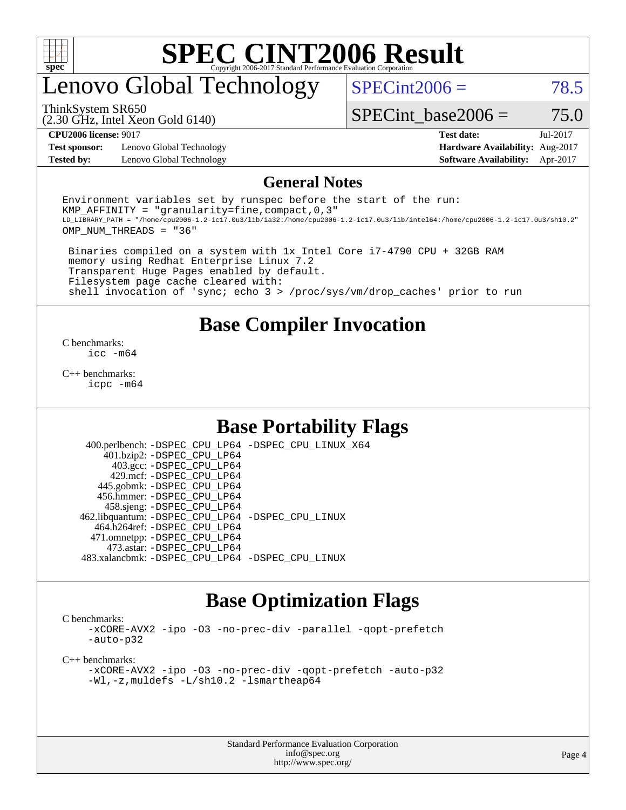

## enovo Global Technology

 $SPECint2006 = 78.5$  $SPECint2006 = 78.5$ 

(2.30 GHz, Intel Xeon Gold 6140) ThinkSystem SR650

SPECint base2006 =  $75.0$ 

**[Test sponsor:](http://www.spec.org/auto/cpu2006/Docs/result-fields.html#Testsponsor)** Lenovo Global Technology **[Hardware Availability:](http://www.spec.org/auto/cpu2006/Docs/result-fields.html#HardwareAvailability)** Aug-2017

**[CPU2006 license:](http://www.spec.org/auto/cpu2006/Docs/result-fields.html#CPU2006license)** 9017 **[Test date:](http://www.spec.org/auto/cpu2006/Docs/result-fields.html#Testdate)** Jul-2017 **[Tested by:](http://www.spec.org/auto/cpu2006/Docs/result-fields.html#Testedby)** Lenovo Global Technology **[Software Availability:](http://www.spec.org/auto/cpu2006/Docs/result-fields.html#SoftwareAvailability)** Apr-2017

#### **[General Notes](http://www.spec.org/auto/cpu2006/Docs/result-fields.html#GeneralNotes)**

Environment variables set by runspec before the start of the run: KMP AFFINITY = "granularity=fine, compact,  $0,3$ " LD\_LIBRARY\_PATH = "/home/cpu2006-1.2-ic17.0u3/lib/ia32:/home/cpu2006-1.2-ic17.0u3/lib/intel64:/home/cpu2006-1.2-ic17.0u3/sh10.2" OMP\_NUM\_THREADS = "36"

 Binaries compiled on a system with 1x Intel Core i7-4790 CPU + 32GB RAM memory using Redhat Enterprise Linux 7.2 Transparent Huge Pages enabled by default. Filesystem page cache cleared with: shell invocation of 'sync; echo 3 > /proc/sys/vm/drop\_caches' prior to run

### **[Base Compiler Invocation](http://www.spec.org/auto/cpu2006/Docs/result-fields.html#BaseCompilerInvocation)**

[C benchmarks](http://www.spec.org/auto/cpu2006/Docs/result-fields.html#Cbenchmarks): [icc -m64](http://www.spec.org/cpu2006/results/res2017q4/cpu2006-20170918-49766.flags.html#user_CCbase_intel_icc_64bit_bda6cc9af1fdbb0edc3795bac97ada53)

[C++ benchmarks:](http://www.spec.org/auto/cpu2006/Docs/result-fields.html#CXXbenchmarks) [icpc -m64](http://www.spec.org/cpu2006/results/res2017q4/cpu2006-20170918-49766.flags.html#user_CXXbase_intel_icpc_64bit_fc66a5337ce925472a5c54ad6a0de310)

### **[Base Portability Flags](http://www.spec.org/auto/cpu2006/Docs/result-fields.html#BasePortabilityFlags)**

 400.perlbench: [-DSPEC\\_CPU\\_LP64](http://www.spec.org/cpu2006/results/res2017q4/cpu2006-20170918-49766.flags.html#b400.perlbench_basePORTABILITY_DSPEC_CPU_LP64) [-DSPEC\\_CPU\\_LINUX\\_X64](http://www.spec.org/cpu2006/results/res2017q4/cpu2006-20170918-49766.flags.html#b400.perlbench_baseCPORTABILITY_DSPEC_CPU_LINUX_X64) 401.bzip2: [-DSPEC\\_CPU\\_LP64](http://www.spec.org/cpu2006/results/res2017q4/cpu2006-20170918-49766.flags.html#suite_basePORTABILITY401_bzip2_DSPEC_CPU_LP64) 403.gcc: [-DSPEC\\_CPU\\_LP64](http://www.spec.org/cpu2006/results/res2017q4/cpu2006-20170918-49766.flags.html#suite_basePORTABILITY403_gcc_DSPEC_CPU_LP64) 429.mcf: [-DSPEC\\_CPU\\_LP64](http://www.spec.org/cpu2006/results/res2017q4/cpu2006-20170918-49766.flags.html#suite_basePORTABILITY429_mcf_DSPEC_CPU_LP64) 445.gobmk: [-DSPEC\\_CPU\\_LP64](http://www.spec.org/cpu2006/results/res2017q4/cpu2006-20170918-49766.flags.html#suite_basePORTABILITY445_gobmk_DSPEC_CPU_LP64) 456.hmmer: [-DSPEC\\_CPU\\_LP64](http://www.spec.org/cpu2006/results/res2017q4/cpu2006-20170918-49766.flags.html#suite_basePORTABILITY456_hmmer_DSPEC_CPU_LP64) 458.sjeng: [-DSPEC\\_CPU\\_LP64](http://www.spec.org/cpu2006/results/res2017q4/cpu2006-20170918-49766.flags.html#suite_basePORTABILITY458_sjeng_DSPEC_CPU_LP64) 462.libquantum: [-DSPEC\\_CPU\\_LP64](http://www.spec.org/cpu2006/results/res2017q4/cpu2006-20170918-49766.flags.html#suite_basePORTABILITY462_libquantum_DSPEC_CPU_LP64) [-DSPEC\\_CPU\\_LINUX](http://www.spec.org/cpu2006/results/res2017q4/cpu2006-20170918-49766.flags.html#b462.libquantum_baseCPORTABILITY_DSPEC_CPU_LINUX) 464.h264ref: [-DSPEC\\_CPU\\_LP64](http://www.spec.org/cpu2006/results/res2017q4/cpu2006-20170918-49766.flags.html#suite_basePORTABILITY464_h264ref_DSPEC_CPU_LP64) 471.omnetpp: [-DSPEC\\_CPU\\_LP64](http://www.spec.org/cpu2006/results/res2017q4/cpu2006-20170918-49766.flags.html#suite_basePORTABILITY471_omnetpp_DSPEC_CPU_LP64) 473.astar: [-DSPEC\\_CPU\\_LP64](http://www.spec.org/cpu2006/results/res2017q4/cpu2006-20170918-49766.flags.html#suite_basePORTABILITY473_astar_DSPEC_CPU_LP64) 483.xalancbmk: [-DSPEC\\_CPU\\_LP64](http://www.spec.org/cpu2006/results/res2017q4/cpu2006-20170918-49766.flags.html#suite_basePORTABILITY483_xalancbmk_DSPEC_CPU_LP64) [-DSPEC\\_CPU\\_LINUX](http://www.spec.org/cpu2006/results/res2017q4/cpu2006-20170918-49766.flags.html#b483.xalancbmk_baseCXXPORTABILITY_DSPEC_CPU_LINUX)

### **[Base Optimization Flags](http://www.spec.org/auto/cpu2006/Docs/result-fields.html#BaseOptimizationFlags)**

[C benchmarks](http://www.spec.org/auto/cpu2006/Docs/result-fields.html#Cbenchmarks):

[-xCORE-AVX2](http://www.spec.org/cpu2006/results/res2017q4/cpu2006-20170918-49766.flags.html#user_CCbase_f-xCORE-AVX2) [-ipo](http://www.spec.org/cpu2006/results/res2017q4/cpu2006-20170918-49766.flags.html#user_CCbase_f-ipo) [-O3](http://www.spec.org/cpu2006/results/res2017q4/cpu2006-20170918-49766.flags.html#user_CCbase_f-O3) [-no-prec-div](http://www.spec.org/cpu2006/results/res2017q4/cpu2006-20170918-49766.flags.html#user_CCbase_f-no-prec-div) [-parallel](http://www.spec.org/cpu2006/results/res2017q4/cpu2006-20170918-49766.flags.html#user_CCbase_f-parallel) [-qopt-prefetch](http://www.spec.org/cpu2006/results/res2017q4/cpu2006-20170918-49766.flags.html#user_CCbase_f-qopt-prefetch) [-auto-p32](http://www.spec.org/cpu2006/results/res2017q4/cpu2006-20170918-49766.flags.html#user_CCbase_f-auto-p32)

[C++ benchmarks:](http://www.spec.org/auto/cpu2006/Docs/result-fields.html#CXXbenchmarks)

[-xCORE-AVX2](http://www.spec.org/cpu2006/results/res2017q4/cpu2006-20170918-49766.flags.html#user_CXXbase_f-xCORE-AVX2) [-ipo](http://www.spec.org/cpu2006/results/res2017q4/cpu2006-20170918-49766.flags.html#user_CXXbase_f-ipo) [-O3](http://www.spec.org/cpu2006/results/res2017q4/cpu2006-20170918-49766.flags.html#user_CXXbase_f-O3) [-no-prec-div](http://www.spec.org/cpu2006/results/res2017q4/cpu2006-20170918-49766.flags.html#user_CXXbase_f-no-prec-div) [-qopt-prefetch](http://www.spec.org/cpu2006/results/res2017q4/cpu2006-20170918-49766.flags.html#user_CXXbase_f-qopt-prefetch) [-auto-p32](http://www.spec.org/cpu2006/results/res2017q4/cpu2006-20170918-49766.flags.html#user_CXXbase_f-auto-p32) [-Wl,-z,muldefs](http://www.spec.org/cpu2006/results/res2017q4/cpu2006-20170918-49766.flags.html#user_CXXbase_link_force_multiple1_74079c344b956b9658436fd1b6dd3a8a) [-L/sh10.2 -lsmartheap64](http://www.spec.org/cpu2006/results/res2017q4/cpu2006-20170918-49766.flags.html#user_CXXbase_SmartHeap64_63911d860fc08c15fa1d5bf319b9d8d5)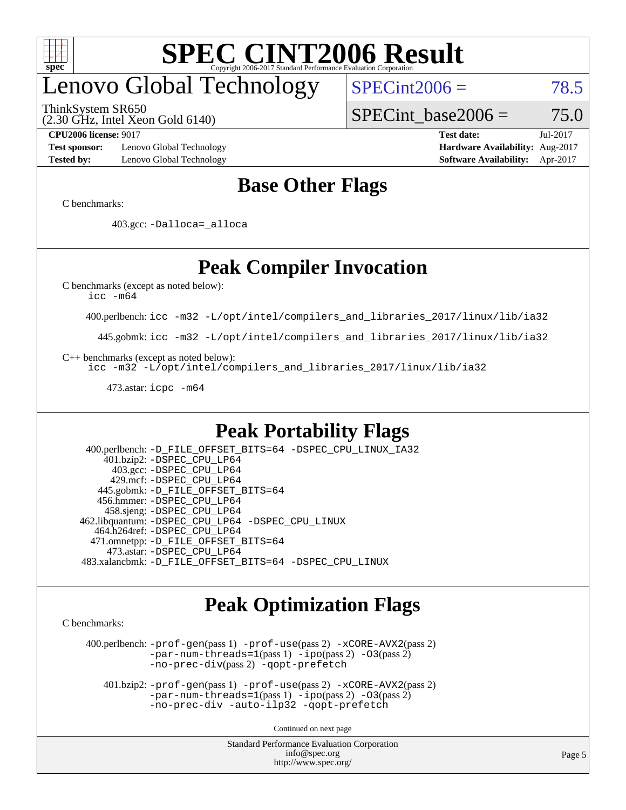

## enovo Global Technology

ThinkSystem SR650

(2.30 GHz, Intel Xeon Gold 6140)

 $SPECint2006 = 78.5$  $SPECint2006 = 78.5$ 

SPECint base2006 =  $75.0$ 

**[Test sponsor:](http://www.spec.org/auto/cpu2006/Docs/result-fields.html#Testsponsor)** Lenovo Global Technology **[Hardware Availability:](http://www.spec.org/auto/cpu2006/Docs/result-fields.html#HardwareAvailability)** Aug-2017 **[Tested by:](http://www.spec.org/auto/cpu2006/Docs/result-fields.html#Testedby)** Lenovo Global Technology **[Software Availability:](http://www.spec.org/auto/cpu2006/Docs/result-fields.html#SoftwareAvailability)** Apr-2017

**[CPU2006 license:](http://www.spec.org/auto/cpu2006/Docs/result-fields.html#CPU2006license)** 9017 **[Test date:](http://www.spec.org/auto/cpu2006/Docs/result-fields.html#Testdate)** Jul-2017

### **[Base Other Flags](http://www.spec.org/auto/cpu2006/Docs/result-fields.html#BaseOtherFlags)**

[C benchmarks](http://www.spec.org/auto/cpu2006/Docs/result-fields.html#Cbenchmarks):

403.gcc: [-Dalloca=\\_alloca](http://www.spec.org/cpu2006/results/res2017q4/cpu2006-20170918-49766.flags.html#b403.gcc_baseEXTRA_CFLAGS_Dalloca_be3056838c12de2578596ca5467af7f3)

## **[Peak Compiler Invocation](http://www.spec.org/auto/cpu2006/Docs/result-fields.html#PeakCompilerInvocation)**

[C benchmarks \(except as noted below\)](http://www.spec.org/auto/cpu2006/Docs/result-fields.html#Cbenchmarksexceptasnotedbelow):

[icc -m64](http://www.spec.org/cpu2006/results/res2017q4/cpu2006-20170918-49766.flags.html#user_CCpeak_intel_icc_64bit_bda6cc9af1fdbb0edc3795bac97ada53)

400.perlbench: [icc -m32 -L/opt/intel/compilers\\_and\\_libraries\\_2017/linux/lib/ia32](http://www.spec.org/cpu2006/results/res2017q4/cpu2006-20170918-49766.flags.html#user_peakCCLD400_perlbench_intel_icc_c29f3ff5a7ed067b11e4ec10a03f03ae)

445.gobmk: [icc -m32 -L/opt/intel/compilers\\_and\\_libraries\\_2017/linux/lib/ia32](http://www.spec.org/cpu2006/results/res2017q4/cpu2006-20170918-49766.flags.html#user_peakCCLD445_gobmk_intel_icc_c29f3ff5a7ed067b11e4ec10a03f03ae)

[C++ benchmarks \(except as noted below\):](http://www.spec.org/auto/cpu2006/Docs/result-fields.html#CXXbenchmarksexceptasnotedbelow)

[icc -m32 -L/opt/intel/compilers\\_and\\_libraries\\_2017/linux/lib/ia32](http://www.spec.org/cpu2006/results/res2017q4/cpu2006-20170918-49766.flags.html#user_CXXpeak_intel_icc_c29f3ff5a7ed067b11e4ec10a03f03ae)

473.astar: [icpc -m64](http://www.spec.org/cpu2006/results/res2017q4/cpu2006-20170918-49766.flags.html#user_peakCXXLD473_astar_intel_icpc_64bit_fc66a5337ce925472a5c54ad6a0de310)

### **[Peak Portability Flags](http://www.spec.org/auto/cpu2006/Docs/result-fields.html#PeakPortabilityFlags)**

 400.perlbench: [-D\\_FILE\\_OFFSET\\_BITS=64](http://www.spec.org/cpu2006/results/res2017q4/cpu2006-20170918-49766.flags.html#user_peakPORTABILITY400_perlbench_file_offset_bits_64_438cf9856305ebd76870a2c6dc2689ab) [-DSPEC\\_CPU\\_LINUX\\_IA32](http://www.spec.org/cpu2006/results/res2017q4/cpu2006-20170918-49766.flags.html#b400.perlbench_peakCPORTABILITY_DSPEC_CPU_LINUX_IA32) 401.bzip2: [-DSPEC\\_CPU\\_LP64](http://www.spec.org/cpu2006/results/res2017q4/cpu2006-20170918-49766.flags.html#suite_peakPORTABILITY401_bzip2_DSPEC_CPU_LP64) 403.gcc: [-DSPEC\\_CPU\\_LP64](http://www.spec.org/cpu2006/results/res2017q4/cpu2006-20170918-49766.flags.html#suite_peakPORTABILITY403_gcc_DSPEC_CPU_LP64) 429.mcf: [-DSPEC\\_CPU\\_LP64](http://www.spec.org/cpu2006/results/res2017q4/cpu2006-20170918-49766.flags.html#suite_peakPORTABILITY429_mcf_DSPEC_CPU_LP64) 445.gobmk: [-D\\_FILE\\_OFFSET\\_BITS=64](http://www.spec.org/cpu2006/results/res2017q4/cpu2006-20170918-49766.flags.html#user_peakPORTABILITY445_gobmk_file_offset_bits_64_438cf9856305ebd76870a2c6dc2689ab) 456.hmmer: [-DSPEC\\_CPU\\_LP64](http://www.spec.org/cpu2006/results/res2017q4/cpu2006-20170918-49766.flags.html#suite_peakPORTABILITY456_hmmer_DSPEC_CPU_LP64) 458.sjeng: [-DSPEC\\_CPU\\_LP64](http://www.spec.org/cpu2006/results/res2017q4/cpu2006-20170918-49766.flags.html#suite_peakPORTABILITY458_sjeng_DSPEC_CPU_LP64) 462.libquantum: [-DSPEC\\_CPU\\_LP64](http://www.spec.org/cpu2006/results/res2017q4/cpu2006-20170918-49766.flags.html#suite_peakPORTABILITY462_libquantum_DSPEC_CPU_LP64) [-DSPEC\\_CPU\\_LINUX](http://www.spec.org/cpu2006/results/res2017q4/cpu2006-20170918-49766.flags.html#b462.libquantum_peakCPORTABILITY_DSPEC_CPU_LINUX) 464.h264ref: [-DSPEC\\_CPU\\_LP64](http://www.spec.org/cpu2006/results/res2017q4/cpu2006-20170918-49766.flags.html#suite_peakPORTABILITY464_h264ref_DSPEC_CPU_LP64) 471.omnetpp: [-D\\_FILE\\_OFFSET\\_BITS=64](http://www.spec.org/cpu2006/results/res2017q4/cpu2006-20170918-49766.flags.html#user_peakPORTABILITY471_omnetpp_file_offset_bits_64_438cf9856305ebd76870a2c6dc2689ab) 473.astar: [-DSPEC\\_CPU\\_LP64](http://www.spec.org/cpu2006/results/res2017q4/cpu2006-20170918-49766.flags.html#suite_peakPORTABILITY473_astar_DSPEC_CPU_LP64) 483.xalancbmk: [-D\\_FILE\\_OFFSET\\_BITS=64](http://www.spec.org/cpu2006/results/res2017q4/cpu2006-20170918-49766.flags.html#user_peakPORTABILITY483_xalancbmk_file_offset_bits_64_438cf9856305ebd76870a2c6dc2689ab) [-DSPEC\\_CPU\\_LINUX](http://www.spec.org/cpu2006/results/res2017q4/cpu2006-20170918-49766.flags.html#b483.xalancbmk_peakCXXPORTABILITY_DSPEC_CPU_LINUX)

### **[Peak Optimization Flags](http://www.spec.org/auto/cpu2006/Docs/result-fields.html#PeakOptimizationFlags)**

[C benchmarks](http://www.spec.org/auto/cpu2006/Docs/result-fields.html#Cbenchmarks):

 400.perlbench: [-prof-gen](http://www.spec.org/cpu2006/results/res2017q4/cpu2006-20170918-49766.flags.html#user_peakPASS1_CFLAGSPASS1_LDCFLAGS400_perlbench_prof_gen_e43856698f6ca7b7e442dfd80e94a8fc)(pass 1) [-prof-use](http://www.spec.org/cpu2006/results/res2017q4/cpu2006-20170918-49766.flags.html#user_peakPASS2_CFLAGSPASS2_LDCFLAGS400_perlbench_prof_use_bccf7792157ff70d64e32fe3e1250b55)(pass 2) [-xCORE-AVX2](http://www.spec.org/cpu2006/results/res2017q4/cpu2006-20170918-49766.flags.html#user_peakPASS2_CFLAGSPASS2_LDCFLAGS400_perlbench_f-xCORE-AVX2)(pass 2) [-par-num-threads=1](http://www.spec.org/cpu2006/results/res2017q4/cpu2006-20170918-49766.flags.html#user_peakPASS1_CFLAGSPASS1_LDCFLAGS400_perlbench_par_num_threads_786a6ff141b4e9e90432e998842df6c2)(pass 1) [-ipo](http://www.spec.org/cpu2006/results/res2017q4/cpu2006-20170918-49766.flags.html#user_peakPASS2_CFLAGSPASS2_LDCFLAGS400_perlbench_f-ipo)(pass 2) [-O3](http://www.spec.org/cpu2006/results/res2017q4/cpu2006-20170918-49766.flags.html#user_peakPASS2_CFLAGSPASS2_LDCFLAGS400_perlbench_f-O3)(pass 2) [-no-prec-div](http://www.spec.org/cpu2006/results/res2017q4/cpu2006-20170918-49766.flags.html#user_peakPASS2_CFLAGSPASS2_LDCFLAGS400_perlbench_f-no-prec-div)(pass 2) [-qopt-prefetch](http://www.spec.org/cpu2006/results/res2017q4/cpu2006-20170918-49766.flags.html#user_peakCOPTIMIZE400_perlbench_f-qopt-prefetch)

 401.bzip2: [-prof-gen](http://www.spec.org/cpu2006/results/res2017q4/cpu2006-20170918-49766.flags.html#user_peakPASS1_CFLAGSPASS1_LDCFLAGS401_bzip2_prof_gen_e43856698f6ca7b7e442dfd80e94a8fc)(pass 1) [-prof-use](http://www.spec.org/cpu2006/results/res2017q4/cpu2006-20170918-49766.flags.html#user_peakPASS2_CFLAGSPASS2_LDCFLAGS401_bzip2_prof_use_bccf7792157ff70d64e32fe3e1250b55)(pass 2) [-xCORE-AVX2](http://www.spec.org/cpu2006/results/res2017q4/cpu2006-20170918-49766.flags.html#user_peakPASS2_CFLAGSPASS2_LDCFLAGS401_bzip2_f-xCORE-AVX2)(pass 2)  $-par-num-threads=1(pass 1) -ipo(pass 2) -O3(pass 2)$  $-par-num-threads=1(pass 1) -ipo(pass 2) -O3(pass 2)$  $-par-num-threads=1(pass 1) -ipo(pass 2) -O3(pass 2)$  $-par-num-threads=1(pass 1) -ipo(pass 2) -O3(pass 2)$  $-par-num-threads=1(pass 1) -ipo(pass 2) -O3(pass 2)$  $-par-num-threads=1(pass 1) -ipo(pass 2) -O3(pass 2)$ [-no-prec-div](http://www.spec.org/cpu2006/results/res2017q4/cpu2006-20170918-49766.flags.html#user_peakCOPTIMIZEPASS2_CFLAGSPASS2_LDCFLAGS401_bzip2_f-no-prec-div) [-auto-ilp32](http://www.spec.org/cpu2006/results/res2017q4/cpu2006-20170918-49766.flags.html#user_peakCOPTIMIZE401_bzip2_f-auto-ilp32) [-qopt-prefetch](http://www.spec.org/cpu2006/results/res2017q4/cpu2006-20170918-49766.flags.html#user_peakCOPTIMIZE401_bzip2_f-qopt-prefetch)

Continued on next page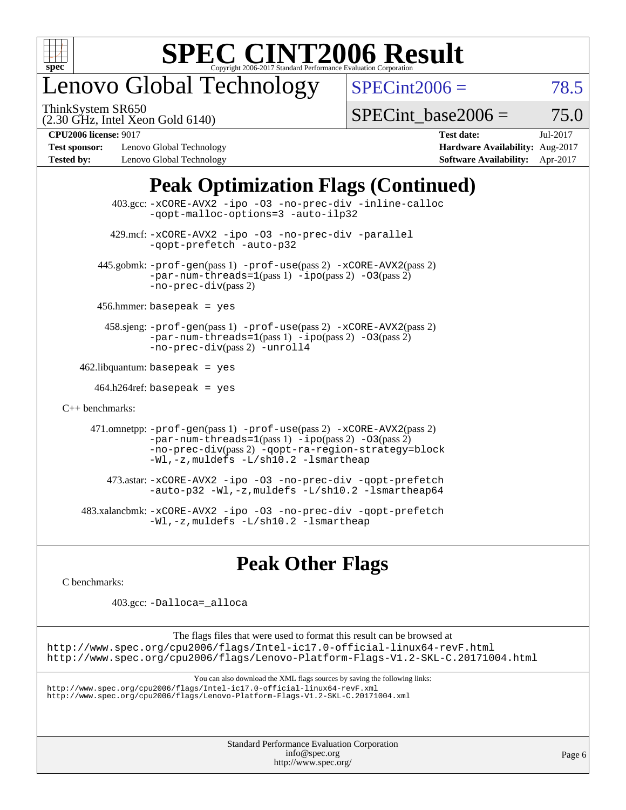

## enovo Global Technology

ThinkSystem SR650

 $SPECint2006 = 78.5$  $SPECint2006 = 78.5$ 

(2.30 GHz, Intel Xeon Gold 6140)

SPECint base2006 =  $75.0$ 

**[Test sponsor:](http://www.spec.org/auto/cpu2006/Docs/result-fields.html#Testsponsor)** Lenovo Global Technology **[Hardware Availability:](http://www.spec.org/auto/cpu2006/Docs/result-fields.html#HardwareAvailability)** Aug-2017 **[Tested by:](http://www.spec.org/auto/cpu2006/Docs/result-fields.html#Testedby)** Lenovo Global Technology **[Software Availability:](http://www.spec.org/auto/cpu2006/Docs/result-fields.html#SoftwareAvailability)** Apr-2017

**[CPU2006 license:](http://www.spec.org/auto/cpu2006/Docs/result-fields.html#CPU2006license)** 9017 **[Test date:](http://www.spec.org/auto/cpu2006/Docs/result-fields.html#Testdate)** Jul-2017

## **[Peak Optimization Flags \(Continued\)](http://www.spec.org/auto/cpu2006/Docs/result-fields.html#PeakOptimizationFlags)**

 403.gcc: [-xCORE-AVX2](http://www.spec.org/cpu2006/results/res2017q4/cpu2006-20170918-49766.flags.html#user_peakOPTIMIZE403_gcc_f-xCORE-AVX2) [-ipo](http://www.spec.org/cpu2006/results/res2017q4/cpu2006-20170918-49766.flags.html#user_peakOPTIMIZE403_gcc_f-ipo) [-O3](http://www.spec.org/cpu2006/results/res2017q4/cpu2006-20170918-49766.flags.html#user_peakOPTIMIZE403_gcc_f-O3) [-no-prec-div](http://www.spec.org/cpu2006/results/res2017q4/cpu2006-20170918-49766.flags.html#user_peakOPTIMIZE403_gcc_f-no-prec-div) [-inline-calloc](http://www.spec.org/cpu2006/results/res2017q4/cpu2006-20170918-49766.flags.html#user_peakCOPTIMIZE403_gcc_f-inline-calloc) [-qopt-malloc-options=3](http://www.spec.org/cpu2006/results/res2017q4/cpu2006-20170918-49766.flags.html#user_peakCOPTIMIZE403_gcc_f-qopt-malloc-options_0fcb435012e78f27d57f473818e45fe4) [-auto-ilp32](http://www.spec.org/cpu2006/results/res2017q4/cpu2006-20170918-49766.flags.html#user_peakCOPTIMIZE403_gcc_f-auto-ilp32) 429.mcf: [-xCORE-AVX2](http://www.spec.org/cpu2006/results/res2017q4/cpu2006-20170918-49766.flags.html#user_peakOPTIMIZE429_mcf_f-xCORE-AVX2) [-ipo](http://www.spec.org/cpu2006/results/res2017q4/cpu2006-20170918-49766.flags.html#user_peakOPTIMIZE429_mcf_f-ipo) [-O3](http://www.spec.org/cpu2006/results/res2017q4/cpu2006-20170918-49766.flags.html#user_peakOPTIMIZE429_mcf_f-O3) [-no-prec-div](http://www.spec.org/cpu2006/results/res2017q4/cpu2006-20170918-49766.flags.html#user_peakOPTIMIZE429_mcf_f-no-prec-div) [-parallel](http://www.spec.org/cpu2006/results/res2017q4/cpu2006-20170918-49766.flags.html#user_peakCOPTIMIZE429_mcf_f-parallel) [-qopt-prefetch](http://www.spec.org/cpu2006/results/res2017q4/cpu2006-20170918-49766.flags.html#user_peakCOPTIMIZE429_mcf_f-qopt-prefetch) [-auto-p32](http://www.spec.org/cpu2006/results/res2017q4/cpu2006-20170918-49766.flags.html#user_peakCOPTIMIZE429_mcf_f-auto-p32) 445.gobmk: [-prof-gen](http://www.spec.org/cpu2006/results/res2017q4/cpu2006-20170918-49766.flags.html#user_peakPASS1_CFLAGSPASS1_LDCFLAGS445_gobmk_prof_gen_e43856698f6ca7b7e442dfd80e94a8fc)(pass 1) [-prof-use](http://www.spec.org/cpu2006/results/res2017q4/cpu2006-20170918-49766.flags.html#user_peakPASS2_CFLAGSPASS2_LDCFLAGS445_gobmk_prof_use_bccf7792157ff70d64e32fe3e1250b55)(pass 2) [-xCORE-AVX2](http://www.spec.org/cpu2006/results/res2017q4/cpu2006-20170918-49766.flags.html#user_peakPASS2_CFLAGSPASS2_LDCFLAGS445_gobmk_f-xCORE-AVX2)(pass 2)  $-par-num-threads=1(pass 1) -ipo(pass 2) -O3(pass 2)$  $-par-num-threads=1(pass 1) -ipo(pass 2) -O3(pass 2)$  $-par-num-threads=1(pass 1) -ipo(pass 2) -O3(pass 2)$  $-par-num-threads=1(pass 1) -ipo(pass 2) -O3(pass 2)$  $-par-num-threads=1(pass 1) -ipo(pass 2) -O3(pass 2)$  $-par-num-threads=1(pass 1) -ipo(pass 2) -O3(pass 2)$ [-no-prec-div](http://www.spec.org/cpu2006/results/res2017q4/cpu2006-20170918-49766.flags.html#user_peakPASS2_CFLAGSPASS2_LDCFLAGS445_gobmk_f-no-prec-div)(pass 2) 456.hmmer: basepeak = yes 458.sjeng: [-prof-gen](http://www.spec.org/cpu2006/results/res2017q4/cpu2006-20170918-49766.flags.html#user_peakPASS1_CFLAGSPASS1_LDCFLAGS458_sjeng_prof_gen_e43856698f6ca7b7e442dfd80e94a8fc)(pass 1) [-prof-use](http://www.spec.org/cpu2006/results/res2017q4/cpu2006-20170918-49766.flags.html#user_peakPASS2_CFLAGSPASS2_LDCFLAGS458_sjeng_prof_use_bccf7792157ff70d64e32fe3e1250b55)(pass 2) [-xCORE-AVX2](http://www.spec.org/cpu2006/results/res2017q4/cpu2006-20170918-49766.flags.html#user_peakPASS2_CFLAGSPASS2_LDCFLAGS458_sjeng_f-xCORE-AVX2)(pass 2) [-par-num-threads=1](http://www.spec.org/cpu2006/results/res2017q4/cpu2006-20170918-49766.flags.html#user_peakPASS1_CFLAGSPASS1_LDCFLAGS458_sjeng_par_num_threads_786a6ff141b4e9e90432e998842df6c2)(pass 1) [-ipo](http://www.spec.org/cpu2006/results/res2017q4/cpu2006-20170918-49766.flags.html#user_peakPASS2_CFLAGSPASS2_LDCFLAGS458_sjeng_f-ipo)(pass 2) [-O3](http://www.spec.org/cpu2006/results/res2017q4/cpu2006-20170918-49766.flags.html#user_peakPASS2_CFLAGSPASS2_LDCFLAGS458_sjeng_f-O3)(pass 2) [-no-prec-div](http://www.spec.org/cpu2006/results/res2017q4/cpu2006-20170918-49766.flags.html#user_peakPASS2_CFLAGSPASS2_LDCFLAGS458_sjeng_f-no-prec-div)(pass 2) [-unroll4](http://www.spec.org/cpu2006/results/res2017q4/cpu2006-20170918-49766.flags.html#user_peakCOPTIMIZE458_sjeng_f-unroll_4e5e4ed65b7fd20bdcd365bec371b81f)  $462$ .libquantum: basepeak = yes  $464.h264$ ref: basepeak = yes [C++ benchmarks:](http://www.spec.org/auto/cpu2006/Docs/result-fields.html#CXXbenchmarks) 471.omnetpp: [-prof-gen](http://www.spec.org/cpu2006/results/res2017q4/cpu2006-20170918-49766.flags.html#user_peakPASS1_CXXFLAGSPASS1_LDCXXFLAGS471_omnetpp_prof_gen_e43856698f6ca7b7e442dfd80e94a8fc)(pass 1) [-prof-use](http://www.spec.org/cpu2006/results/res2017q4/cpu2006-20170918-49766.flags.html#user_peakPASS2_CXXFLAGSPASS2_LDCXXFLAGS471_omnetpp_prof_use_bccf7792157ff70d64e32fe3e1250b55)(pass 2) [-xCORE-AVX2](http://www.spec.org/cpu2006/results/res2017q4/cpu2006-20170918-49766.flags.html#user_peakPASS2_CXXFLAGSPASS2_LDCXXFLAGS471_omnetpp_f-xCORE-AVX2)(pass 2)  $-par-num-threads=1(pass 1) -ipo(pass 2) -O3(pass 2)$  $-par-num-threads=1(pass 1) -ipo(pass 2) -O3(pass 2)$  $-par-num-threads=1(pass 1) -ipo(pass 2) -O3(pass 2)$  $-par-num-threads=1(pass 1) -ipo(pass 2) -O3(pass 2)$  $-par-num-threads=1(pass 1) -ipo(pass 2) -O3(pass 2)$  $-par-num-threads=1(pass 1) -ipo(pass 2) -O3(pass 2)$ [-no-prec-div](http://www.spec.org/cpu2006/results/res2017q4/cpu2006-20170918-49766.flags.html#user_peakPASS2_CXXFLAGSPASS2_LDCXXFLAGS471_omnetpp_f-no-prec-div)(pass 2) [-qopt-ra-region-strategy=block](http://www.spec.org/cpu2006/results/res2017q4/cpu2006-20170918-49766.flags.html#user_peakCXXOPTIMIZE471_omnetpp_f-qopt-ra-region-strategy_0f7b543d62da454b380160c0e3b28f94) [-Wl,-z,muldefs](http://www.spec.org/cpu2006/results/res2017q4/cpu2006-20170918-49766.flags.html#user_peakEXTRA_LDFLAGS471_omnetpp_link_force_multiple1_74079c344b956b9658436fd1b6dd3a8a) [-L/sh10.2 -lsmartheap](http://www.spec.org/cpu2006/results/res2017q4/cpu2006-20170918-49766.flags.html#user_peakEXTRA_LIBS471_omnetpp_SmartHeap_b831f2d313e2fffa6dfe3f00ffc1f1c0) 473.astar: [-xCORE-AVX2](http://www.spec.org/cpu2006/results/res2017q4/cpu2006-20170918-49766.flags.html#user_peakOPTIMIZE473_astar_f-xCORE-AVX2) [-ipo](http://www.spec.org/cpu2006/results/res2017q4/cpu2006-20170918-49766.flags.html#user_peakOPTIMIZE473_astar_f-ipo) [-O3](http://www.spec.org/cpu2006/results/res2017q4/cpu2006-20170918-49766.flags.html#user_peakOPTIMIZE473_astar_f-O3) [-no-prec-div](http://www.spec.org/cpu2006/results/res2017q4/cpu2006-20170918-49766.flags.html#user_peakOPTIMIZE473_astar_f-no-prec-div) [-qopt-prefetch](http://www.spec.org/cpu2006/results/res2017q4/cpu2006-20170918-49766.flags.html#user_peakCXXOPTIMIZE473_astar_f-qopt-prefetch) [-auto-p32](http://www.spec.org/cpu2006/results/res2017q4/cpu2006-20170918-49766.flags.html#user_peakCXXOPTIMIZE473_astar_f-auto-p32) [-Wl,-z,muldefs](http://www.spec.org/cpu2006/results/res2017q4/cpu2006-20170918-49766.flags.html#user_peakEXTRA_LDFLAGS473_astar_link_force_multiple1_74079c344b956b9658436fd1b6dd3a8a) [-L/sh10.2 -lsmartheap64](http://www.spec.org/cpu2006/results/res2017q4/cpu2006-20170918-49766.flags.html#user_peakEXTRA_LIBS473_astar_SmartHeap64_63911d860fc08c15fa1d5bf319b9d8d5) 483.xalancbmk: [-xCORE-AVX2](http://www.spec.org/cpu2006/results/res2017q4/cpu2006-20170918-49766.flags.html#user_peakOPTIMIZE483_xalancbmk_f-xCORE-AVX2) [-ipo](http://www.spec.org/cpu2006/results/res2017q4/cpu2006-20170918-49766.flags.html#user_peakOPTIMIZE483_xalancbmk_f-ipo) [-O3](http://www.spec.org/cpu2006/results/res2017q4/cpu2006-20170918-49766.flags.html#user_peakOPTIMIZE483_xalancbmk_f-O3) [-no-prec-div](http://www.spec.org/cpu2006/results/res2017q4/cpu2006-20170918-49766.flags.html#user_peakOPTIMIZE483_xalancbmk_f-no-prec-div) [-qopt-prefetch](http://www.spec.org/cpu2006/results/res2017q4/cpu2006-20170918-49766.flags.html#user_peakCXXOPTIMIZE483_xalancbmk_f-qopt-prefetch) [-Wl,-z,muldefs](http://www.spec.org/cpu2006/results/res2017q4/cpu2006-20170918-49766.flags.html#user_peakEXTRA_LDFLAGS483_xalancbmk_link_force_multiple1_74079c344b956b9658436fd1b6dd3a8a) [-L/sh10.2 -lsmartheap](http://www.spec.org/cpu2006/results/res2017q4/cpu2006-20170918-49766.flags.html#user_peakEXTRA_LIBS483_xalancbmk_SmartHeap_b831f2d313e2fffa6dfe3f00ffc1f1c0)

## **[Peak Other Flags](http://www.spec.org/auto/cpu2006/Docs/result-fields.html#PeakOtherFlags)**

[C benchmarks](http://www.spec.org/auto/cpu2006/Docs/result-fields.html#Cbenchmarks):

403.gcc: [-Dalloca=\\_alloca](http://www.spec.org/cpu2006/results/res2017q4/cpu2006-20170918-49766.flags.html#b403.gcc_peakEXTRA_CFLAGS_Dalloca_be3056838c12de2578596ca5467af7f3)

The flags files that were used to format this result can be browsed at <http://www.spec.org/cpu2006/flags/Intel-ic17.0-official-linux64-revF.html> <http://www.spec.org/cpu2006/flags/Lenovo-Platform-Flags-V1.2-SKL-C.20171004.html>

You can also download the XML flags sources by saving the following links:

<http://www.spec.org/cpu2006/flags/Intel-ic17.0-official-linux64-revF.xml> <http://www.spec.org/cpu2006/flags/Lenovo-Platform-Flags-V1.2-SKL-C.20171004.xml>